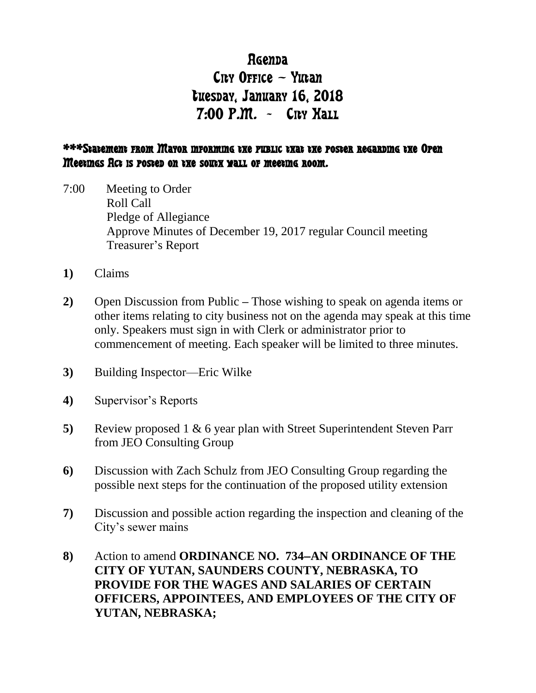## **R**Gen<sub>pa</sub>

# City Office – Yutan tuesday, January 16, 2018  $7:00$  P.M. - Cny Hall

### \*\*\*Statement from Mayor informing the public that the poster regarding the Open Meetings Act is posted on the south wall of meeting room.

- 7:00 Meeting to Order Roll Call Pledge of Allegiance Approve Minutes of December 19, 2017 regular Council meeting Treasurer's Report
- **1)** Claims
- **2)** Open Discussion from Public **–** Those wishing to speak on agenda items or other items relating to city business not on the agenda may speak at this time only. Speakers must sign in with Clerk or administrator prior to commencement of meeting. Each speaker will be limited to three minutes.
- **3)** Building Inspector—Eric Wilke
- **4)** Supervisor's Reports
- **5)** Review proposed 1 & 6 year plan with Street Superintendent Steven Parr from JEO Consulting Group
- **6)** Discussion with Zach Schulz from JEO Consulting Group regarding the possible next steps for the continuation of the proposed utility extension
- **7)** Discussion and possible action regarding the inspection and cleaning of the City's sewer mains
- **8)** Action to amend **ORDINANCE NO. 734AN ORDINANCE OF THE CITY OF YUTAN, SAUNDERS COUNTY, NEBRASKA, TO PROVIDE FOR THE WAGES AND SALARIES OF CERTAIN OFFICERS, APPOINTEES, AND EMPLOYEES OF THE CITY OF YUTAN, NEBRASKA;**